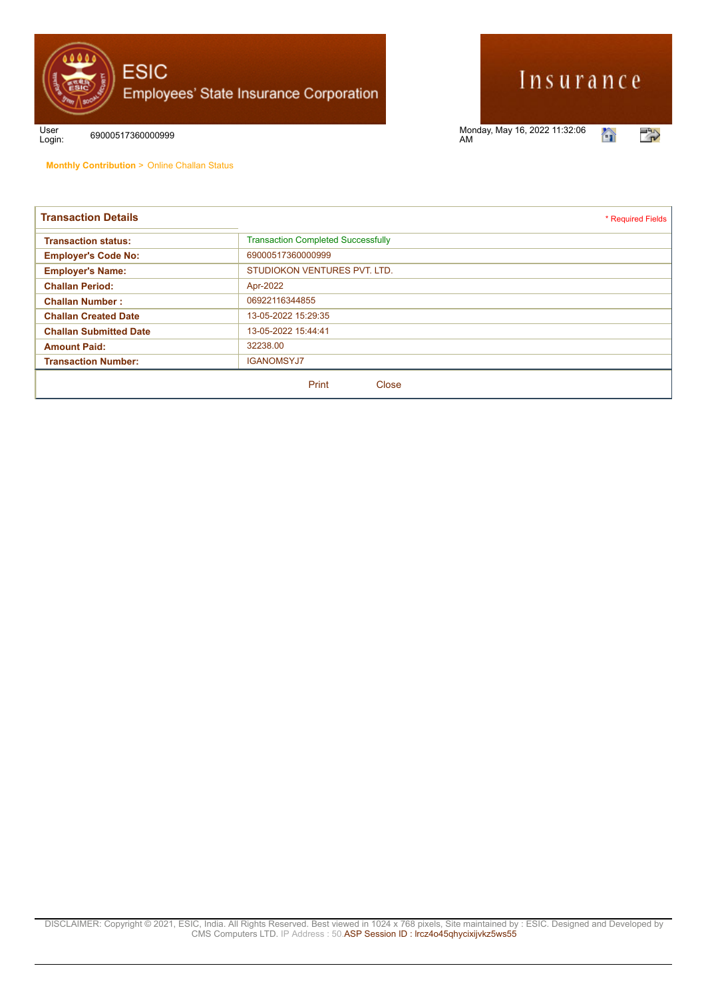

## Insurance

Login: <sup>69000517360000999</sup> Monday, May 16, 2022 11:32:06 AM



User<br>Login:

**Monthly Contribution** > Online Challan Status

| <b>Transaction Details</b>    | * Required Fields                         |
|-------------------------------|-------------------------------------------|
| <b>Transaction status:</b>    | <b>Transaction Completed Successfully</b> |
| <b>Employer's Code No:</b>    | 69000517360000999                         |
| <b>Employer's Name:</b>       | STUDIOKON VENTURES PVT. LTD.              |
| <b>Challan Period:</b>        | Apr-2022                                  |
| <b>Challan Number:</b>        | 06922116344855                            |
| <b>Challan Created Date</b>   | 13-05-2022 15:29:35                       |
| <b>Challan Submitted Date</b> | 13-05-2022 15:44:41                       |
| <b>Amount Paid:</b>           | 32238.00                                  |
| <b>Transaction Number:</b>    | <b>IGANOMSYJ7</b>                         |
|                               | Print<br>Close                            |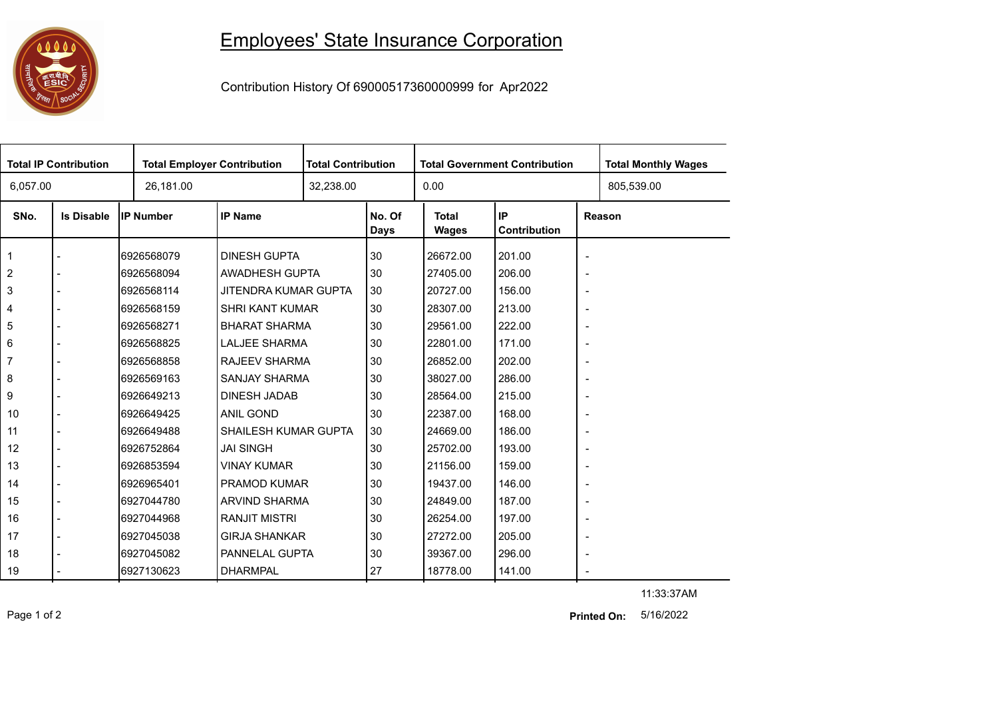

## Employees' State Insurance Corporation

Contribution History Of 69000517360000999 for Apr2022

| <b>Total IP Contribution</b><br><b>Total Employer Contribution</b> |                   | <b>Total Contribution</b> |                             | <b>Total Government Contribution</b> |                       |                              | <b>Total Monthly Wages</b> |                          |  |
|--------------------------------------------------------------------|-------------------|---------------------------|-----------------------------|--------------------------------------|-----------------------|------------------------------|----------------------------|--------------------------|--|
| 26,181.00<br>6,057.00                                              |                   |                           | 32,238.00                   |                                      | 0.00                  |                              |                            | 805,539.00               |  |
| SNo.                                                               | <b>Is Disable</b> | <b>IP Number</b>          | <b>IP Name</b>              |                                      | No. Of<br><b>Days</b> | <b>Total</b><br><b>Wages</b> | IP<br>Contribution         | Reason                   |  |
| 1                                                                  |                   | 6926568079                | <b>DINESH GUPTA</b>         |                                      | 30                    | 26672.00                     | 201.00                     | $\blacksquare$           |  |
| $\overline{2}$                                                     |                   | 6926568094                | AWADHESH GUPTA              |                                      | 30                    | 27405.00                     | 206.00                     | $\overline{\phantom{a}}$ |  |
| 3                                                                  |                   | 6926568114                | JITENDRA KUMAR GUPTA        |                                      | 30                    | 20727.00                     | 156.00                     | $\overline{\phantom{a}}$ |  |
| 4                                                                  |                   | 6926568159                | <b>SHRI KANT KUMAR</b>      |                                      | 30                    | 28307.00                     | 213.00                     | $\overline{\phantom{a}}$ |  |
| 5                                                                  |                   | 6926568271                | <b>BHARAT SHARMA</b>        |                                      | 30                    | 29561.00                     | 222.00                     | $\overline{\phantom{a}}$ |  |
| 6                                                                  |                   | 6926568825                | <b>LALJEE SHARMA</b>        |                                      | 30                    | 22801.00                     | 171.00                     | $\overline{\phantom{a}}$ |  |
| $\overline{7}$                                                     |                   | 6926568858                | RAJEEV SHARMA               |                                      | 30                    | 26852.00                     | 202.00                     | $\overline{\phantom{a}}$ |  |
| 8                                                                  |                   | 6926569163                | <b>SANJAY SHARMA</b>        |                                      | 30                    | 38027.00                     | 286.00                     | $\overline{\phantom{a}}$ |  |
| 9                                                                  |                   | 6926649213                | <b>DINESH JADAB</b>         |                                      | 30                    | 28564.00                     | 215.00                     | $\overline{\phantom{a}}$ |  |
| 10                                                                 |                   | 6926649425                | <b>ANIL GOND</b>            |                                      | 30                    | 22387.00                     | 168.00                     | $\blacksquare$           |  |
| 11                                                                 |                   | 6926649488                | <b>SHAILESH KUMAR GUPTA</b> |                                      | 30                    | 24669.00                     | 186.00                     | $\overline{\phantom{a}}$ |  |
| 12                                                                 |                   | 6926752864                | <b>JAI SINGH</b>            |                                      | 30                    | 25702.00                     | 193.00                     | $\overline{\phantom{a}}$ |  |
| 13                                                                 |                   | 6926853594                | <b>VINAY KUMAR</b>          |                                      | 30                    | 21156.00                     | 159.00                     | $\overline{\phantom{a}}$ |  |
| 14                                                                 |                   | 6926965401                | <b>PRAMOD KUMAR</b>         |                                      | 30                    | 19437.00                     | 146.00                     | $\blacksquare$           |  |
| 15                                                                 |                   | 6927044780                | <b>ARVIND SHARMA</b>        |                                      | 30                    | 24849.00                     | 187.00                     | $\overline{\phantom{a}}$ |  |
| 16                                                                 |                   | 6927044968                | <b>RANJIT MISTRI</b>        |                                      | 30                    | 26254.00                     | 197.00                     | $\overline{\phantom{a}}$ |  |
| 17                                                                 |                   | 6927045038                | <b>GIRJA SHANKAR</b>        |                                      | 30                    | 27272.00                     | 205.00                     | $\blacksquare$           |  |
| 18                                                                 |                   | 6927045082                | PANNELAL GUPTA              |                                      | 30                    | 39367.00                     | 296.00                     | $\overline{\phantom{a}}$ |  |
| 19                                                                 |                   | 6927130623                | <b>DHARMPAL</b>             |                                      | 27                    | 18778.00                     | 141.00                     | $\overline{\phantom{a}}$ |  |

11:33:37AM